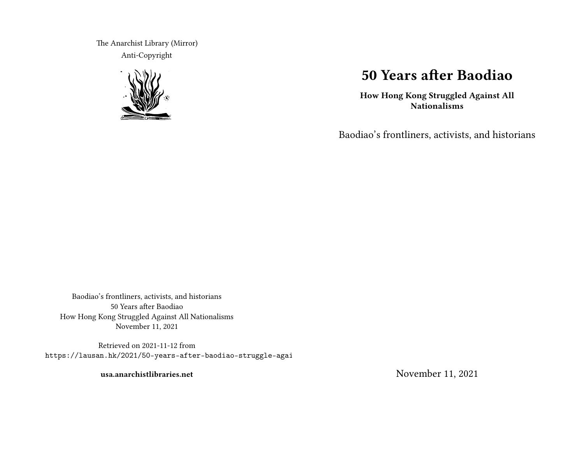The Anarchist Library (Mirror) Anti-Copyright



## **50 Years after Baodiao**

**How Hong Kong Struggled Against All Nationalisms**

Baodiao's frontliners, activists, and historians

Baodiao's frontliners, activists, and historians 50 Years after Baodiao How Hong Kong Struggled Against All Nationalisms November 11, 2021

Retrieved on 2021-11-12 from https://lausan.hk/2021/50-years-after-baodiao-struggle-agai

**usa.anarchistlibraries.net**

November 11, 2021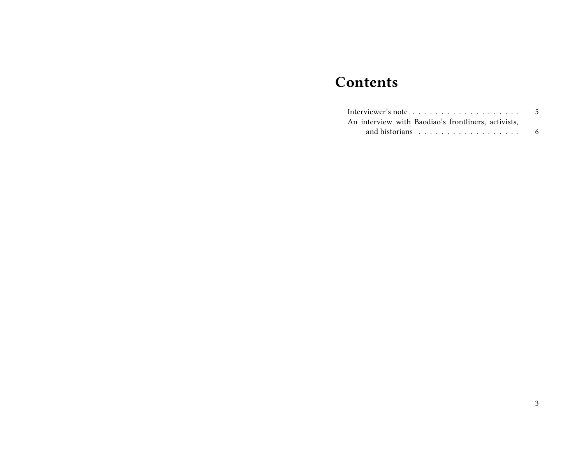## **Contents**

|                                                     | 5 |
|-----------------------------------------------------|---|
| An interview with Baodiao's frontliners, activists, |   |
|                                                     | 6 |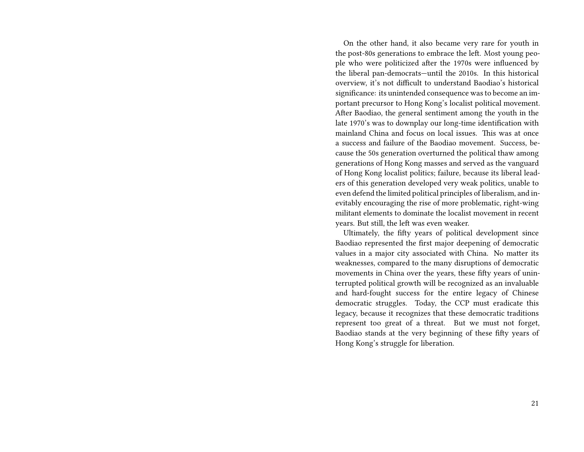On the other hand, it also became very rare for youth in the post-80s generations to embrace the left. Most young people who were politicized after the 1970s were influenced by the liberal pan-democrats—until the 2010s. In this historical overview, it's not difficult to understand Baodiao's historical significance: its unintended consequence was to become an important precursor to Hong Kong's localist political movement. After Baodiao, the general sentiment among the youth in the late 1970's was to downplay our long-time identification with mainland China and focus on local issues. This was at once a success and failure of the Baodiao movement. Success, because the 50s generation overturned the political thaw among generations of Hong Kong masses and served as the vanguard of Hong Kong localist politics; failure, because its liberal leaders of this generation developed very weak politics, unable to even defend the limited political principles of liberalism, and inevitably encouraging the rise of more problematic, right-wing militant elements to dominate the localist movement in recent years. But still, the left was even weaker.

Ultimately, the fifty years of political development since Baodiao represented the first major deepening of democratic values in a major city associated with China. No matter its weaknesses, compared to the many disruptions of democratic movements in China over the years, these fifty years of uninterrupted political growth will be recognized as an invaluable and hard-fought success for the entire legacy of Chinese democratic struggles. Today, the CCP must eradicate this legacy, because it recognizes that these democratic traditions represent too great of a threat. But we must not forget, Baodiao stands at the very beginning of these fifty years of Hong Kong's struggle for liberation.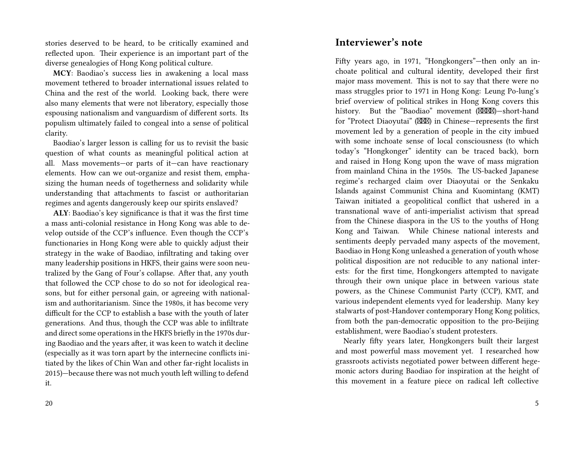stories deserved to be heard, to be critically examined and reflected upon. Their experience is an important part of the diverse genealogies of Hong Kong political culture.

**MCY**: Baodiao's success lies in awakening a local mass movement tethered to broader international issues related to China and the rest of the world. Looking back, there were also many elements that were not liberatory, especially those espousing nationalism and vanguardism of different sorts. Its populism ultimately failed to congeal into a sense of political clarity.

Baodiao's larger lesson is calling for us to revisit the basic question of what counts as meaningful political action at all. Mass movements—or parts of it—can have reactionary elements. How can we out-organize and resist them, emphasizing the human needs of togetherness and solidarity while understanding that attachments to fascist or authoritarian regimes and agents dangerously keep our spirits enslaved?

**ALY**: Baodiao's key significance is that it was the first time a mass anti-colonial resistance in Hong Kong was able to develop outside of the CCP's influence. Even though the CCP's functionaries in Hong Kong were able to quickly adjust their strategy in the wake of Baodiao, infiltrating and taking over many leadership positions in HKFS, their gains were soon neutralized by the Gang of Four's collapse. After that, any youth that followed the CCP chose to do so not for ideological reasons, but for either personal gain, or agreeing with nationalism and authoritarianism. Since the 1980s, it has become very difficult for the CCP to establish a base with the youth of later generations. And thus, though the CCP was able to infiltrate and direct some operations in the HKFS briefly in the 1970s during Baodiao and the years after, it was keen to watch it decline (especially as it was torn apart by the internecine conflicts initiated by the likes of Chin Wan and other far-right localists in 2015)—because there was not much youth left willing to defend it.

## **Interviewer's note**

Fifty years ago, in 1971, "Hongkongers"—then only an inchoate political and cultural identity, developed their first major mass movement. This is not to say that there were no mass struggles prior to 1971 in Hong Kong: Leung Po-lung's brief overview of political strikes in Hong Kong covers this history. But the "Baodiao" movement (XXXX)-short-hand for "Protect Diaoyutai" ( $\boxtimes$ ) in Chinese—represents the first movement led by a generation of people in the city imbued with some inchoate sense of local consciousness (to which today's "Hongkonger" identity can be traced back), born and raised in Hong Kong upon the wave of mass migration from mainland China in the 1950s. The US-backed Japanese regime's recharged claim over Diaoyutai or the Senkaku Islands against Communist China and Kuomintang (KMT) Taiwan initiated a geopolitical conflict that ushered in a transnational wave of anti-imperialist activism that spread from the Chinese diaspora in the US to the youths of Hong Kong and Taiwan. While Chinese national interests and sentiments deeply pervaded many aspects of the movement, Baodiao in Hong Kong unleashed a generation of youth whose political disposition are not reducible to any national interests: for the first time, Hongkongers attempted to navigate through their own unique place in between various state powers, as the Chinese Communist Party (CCP), KMT, and various independent elements vyed for leadership. Many key stalwarts of post-Handover contemporary Hong Kong politics, from both the pan-democratic opposition to the pro-Beijing establishment, were Baodiao's student protesters.

Nearly fifty years later, Hongkongers built their largest and most powerful mass movement yet. I researched how grassroots activists negotiated power between different hegemonic actors during Baodiao for inspiration at the height of this movement in a feature piece on radical left collective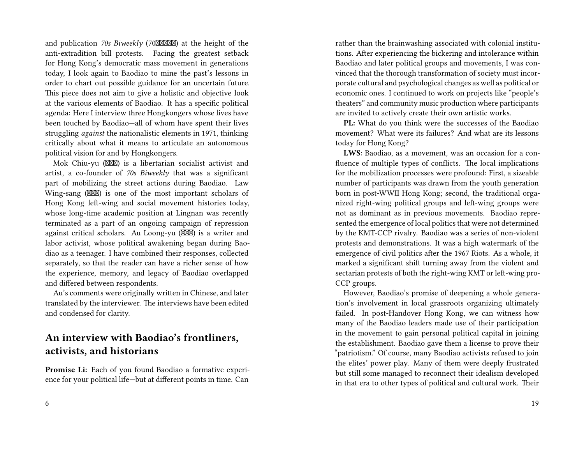and publication *70s Biweekly* (70XXXXX) at the height of the anti-extradition bill protests. Facing the greatest setback for Hong Kong's democratic mass movement in generations today, I look again to Baodiao to mine the past's lessons in order to chart out possible guidance for an uncertain future. This piece does not aim to give a holistic and objective look at the various elements of Baodiao. It has a specific political agenda: Here I interview three Hongkongers whose lives have been touched by Baodiao—all of whom have spent their lives struggling *against* the nationalistic elements in 1971, thinking critically about what it means to articulate an autonomous political vision for and by Hongkongers.

Mok Chiu-yu (XXXIII) is a libertarian socialist activist and artist, a co-founder of *70s Biweekly* that was a significant part of mobilizing the street actions during Baodiao. Law Wing-sang  $(\mathbb{X}\mathbb{X})$  is one of the most important scholars of Hong Kong left-wing and social movement histories today, whose long-time academic position at Lingnan was recently terminated as a part of an ongoing campaign of repression against critical scholars. Au Loong-yu  $(\boxtimes \boxtimes)$  is a writer and labor activist, whose political awakening began during Baodiao as a teenager. I have combined their responses, collected separately, so that the reader can have a richer sense of how the experience, memory, and legacy of Baodiao overlapped and differed between respondents.

Au's comments were originally written in Chinese, and later translated by the interviewer. The interviews have been edited and condensed for clarity.

## **An interview with Baodiao's frontliners, activists, and historians**

**Promise Li:** Each of you found Baodiao a formative experience for your political life—but at different points in time. Can

rather than the brainwashing associated with colonial institutions. After experiencing the bickering and intolerance within Baodiao and later political groups and movements, I was convinced that the thorough transformation of society must incorporate cultural and psychological changes as well as political or economic ones. I continued to work on projects like "people's theaters" and community music production where participants are invited to actively create their own artistic works.

**PL:** What do you think were the successes of the Baodiao movement? What were its failures? And what are its lessons today for Hong Kong?

**LWS**: Baodiao, as a movement, was an occasion for a confluence of multiple types of conflicts. The local implications for the mobilization processes were profound: First, a sizeable number of participants was drawn from the youth generation born in post-WWII Hong Kong; second, the traditional organized right-wing political groups and left-wing groups were not as dominant as in previous movements. Baodiao represented the emergence of local politics that were not determined by the KMT-CCP rivalry. Baodiao was a series of non-violent protests and demonstrations. It was a high watermark of the emergence of civil politics after the 1967 Riots. As a whole, it marked a significant shift turning away from the violent and sectarian protests of both the right-wing KMT or left-wing pro-CCP groups.

However, Baodiao's promise of deepening a whole generation's involvement in local grassroots organizing ultimately failed. In post-Handover Hong Kong, we can witness how many of the Baodiao leaders made use of their participation in the movement to gain personal political capital in joining the establishment. Baodiao gave them a license to prove their "patriotism." Of course, many Baodiao activists refused to join the elites' power play. Many of them were deeply frustrated but still some managed to reconnect their idealism developed in that era to other types of political and cultural work. Their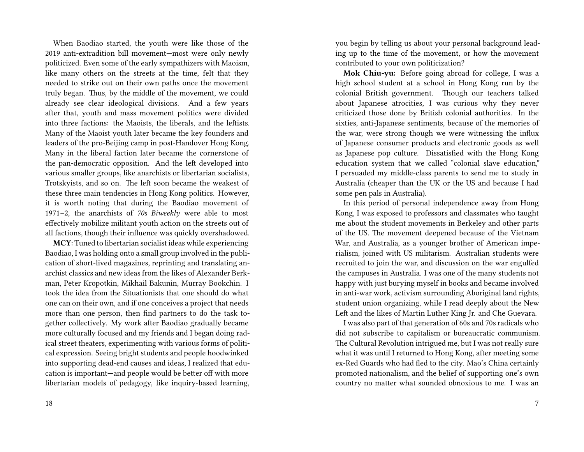When Baodiao started, the youth were like those of the 2019 anti-extradition bill movement—most were only newly politicized. Even some of the early sympathizers with Maoism, like many others on the streets at the time, felt that they needed to strike out on their own paths once the movement truly began. Thus, by the middle of the movement, we could already see clear ideological divisions. And a few years after that, youth and mass movement politics were divided into three factions: the Maoists, the liberals, and the leftists. Many of the Maoist youth later became the key founders and leaders of the pro-Beijing camp in post-Handover Hong Kong. Many in the liberal faction later became the cornerstone of the pan-democratic opposition. And the left developed into various smaller groups, like anarchists or libertarian socialists, Trotskyists, and so on. The left soon became the weakest of these three main tendencies in Hong Kong politics. However, it is worth noting that during the Baodiao movement of 1971–2, the anarchists of *70s Biweekly* were able to most effectively mobilize militant youth action on the streets out of all factions, though their influence was quickly overshadowed.

**MCY**: Tuned to libertarian socialist ideas while experiencing Baodiao, I was holding onto a small group involved in the publication of short-lived magazines, reprinting and translating anarchist classics and new ideas from the likes of Alexander Berkman, Peter Kropotkin, Mikhail Bakunin, Murray Bookchin. I took the idea from the Situationists that one should do what one can on their own, and if one conceives a project that needs more than one person, then find partners to do the task together collectively. My work after Baodiao gradually became more culturally focused and my friends and I began doing radical street theaters, experimenting with various forms of political expression. Seeing bright students and people hoodwinked into supporting dead-end causes and ideas, I realized that education is important—and people would be better off with more libertarian models of pedagogy, like inquiry-based learning,

you begin by telling us about your personal background leading up to the time of the movement, or how the movement contributed to your own politicization?

**Mok Chiu-yu:** Before going abroad for college, I was a high school student at a school in Hong Kong run by the colonial British government. Though our teachers talked about Japanese atrocities, I was curious why they never criticized those done by British colonial authorities. In the sixties, anti-Japanese sentiments, because of the memories of the war, were strong though we were witnessing the influx of Japanese consumer products and electronic goods as well as Japanese pop culture. Dissatisfied with the Hong Kong education system that we called "colonial slave education," I persuaded my middle-class parents to send me to study in Australia (cheaper than the UK or the US and because I had some pen pals in Australia).

In this period of personal independence away from Hong Kong, I was exposed to professors and classmates who taught me about the student movements in Berkeley and other parts of the US. The movement deepened because of the Vietnam War, and Australia, as a younger brother of American imperialism, joined with US militarism. Australian students were recruited to join the war, and discussion on the war engulfed the campuses in Australia. I was one of the many students not happy with just burying myself in books and became involved in anti-war work, activism surrounding Aboriginal land rights, student union organizing, while I read deeply about the New Left and the likes of Martin Luther King Jr. and Che Guevara.

I was also part of that generation of 60s and 70s radicals who did not subscribe to capitalism or bureaucratic communism. The Cultural Revolution intrigued me, but I was not really sure what it was until I returned to Hong Kong, after meeting some ex-Red Guards who had fled to the city. Mao's China certainly promoted nationalism, and the belief of supporting one's own country no matter what sounded obnoxious to me. I was an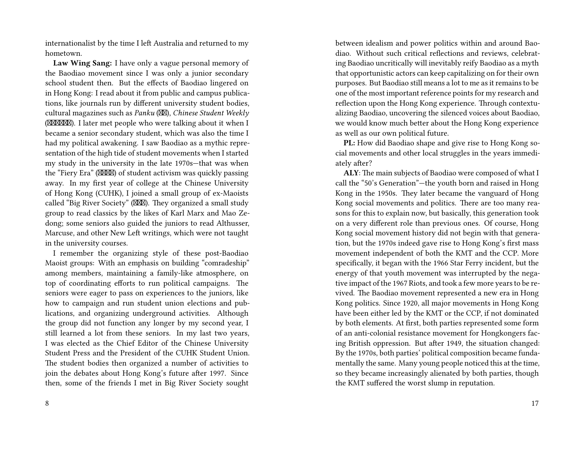internationalist by the time I left Australia and returned to my hometown.

**Law Wing Sang:** I have only a vague personal memory of the Baodiao movement since I was only a junior secondary school student then. But the effects of Baodiao lingered on in Hong Kong: I read about it from public and campus publications, like journals run by different university student bodies, cultural magazines such as *Panku* ( $\boxtimes$ ), *Chinese Student Weekly* (XXXXXX). I later met people who were talking about it when I became a senior secondary student, which was also the time I had my political awakening. I saw Baodiao as a mythic representation of the high tide of student movements when I started my study in the university in the late 1970s—that was when the "Fiery Era" (XXXX) of student activism was quickly passing away. In my first year of college at the Chinese University of Hong Kong (CUHK), I joined a small group of ex-Maoists called "Big River Society" (XXX). They organized a small study group to read classics by the likes of Karl Marx and Mao Zedong; some seniors also guided the juniors to read Althusser, Marcuse, and other New Left writings, which were not taught in the university courses.

I remember the organizing style of these post-Baodiao Maoist groups: With an emphasis on building "comradeship" among members, maintaining a family-like atmosphere, on top of coordinating efforts to run political campaigns. The seniors were eager to pass on experiences to the juniors, like how to campaign and run student union elections and publications, and organizing underground activities. Although the group did not function any longer by my second year, I still learned a lot from these seniors. In my last two years, I was elected as the Chief Editor of the Chinese University Student Press and the President of the CUHK Student Union. The student bodies then organized a number of activities to join the debates about Hong Kong's future after 1997. Since then, some of the friends I met in Big River Society sought

between idealism and power politics within and around Baodiao. Without such critical reflections and reviews, celebrating Baodiao uncritically will inevitably reify Baodiao as a myth that opportunistic actors can keep capitalizing on for their own purposes. But Baodiao still means a lot to me as it remains to be one of the most important reference points for my research and reflection upon the Hong Kong experience. Through contextualizing Baodiao, uncovering the silenced voices about Baodiao, we would know much better about the Hong Kong experience as well as our own political future.

**PL:** How did Baodiao shape and give rise to Hong Kong social movements and other local struggles in the years immediately after?

**ALY**: The main subjects of Baodiao were composed of what I call the "50's Generation"—the youth born and raised in Hong Kong in the 1950s. They later became the vanguard of Hong Kong social movements and politics. There are too many reasons for this to explain now, but basically, this generation took on a very different role than previous ones. Of course, Hong Kong social movement history did not begin with that generation, but the 1970s indeed gave rise to Hong Kong's first mass movement independent of both the KMT and the CCP. More specifically, it began with the 1966 Star Ferry incident, but the energy of that youth movement was interrupted by the negative impact of the 1967 Riots, and took a few more years to be revived. The Baodiao movement represented a new era in Hong Kong politics. Since 1920, all major movements in Hong Kong have been either led by the KMT or the CCP, if not dominated by both elements. At first, both parties represented some form of an anti-colonial resistance movement for Hongkongers facing British oppression. But after 1949, the situation changed: By the 1970s, both parties' political composition became fundamentally the same. Many young people noticed this at the time, so they became increasingly alienated by both parties, though the KMT suffered the worst slump in reputation.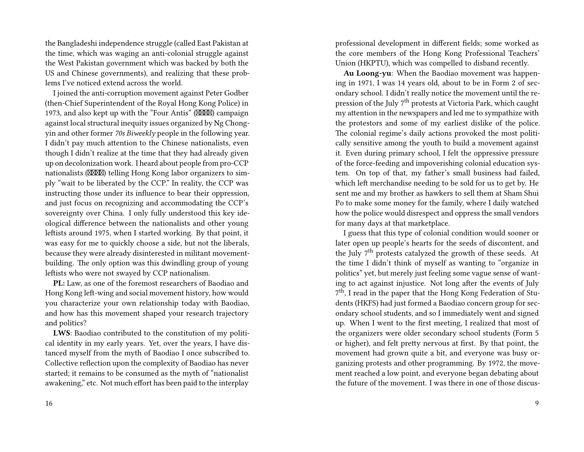the Bangladeshi independence struggle (called East Pakistan at the time, which was waging an anti-colonial struggle against the West Pakistan government which was backed by both the US and Chinese governments), and realizing that these problems I've noticed extend across the world.

I joined the anti-corruption movement against Peter Godber (then-Chief Superintendent of the Royal Hong Kong Police) in 1973, and also kept up with the "Four Antis"  $(MM)$  campaign against local structural inequity issues organized by Ng Chongyin and other former *70s Biweekly* people in the following year. I didn't pay much attention to the Chinese nationalists, even though I didn't realize at the time that they had already given up on decolonization work. I heard about people from pro-CCP nationalists ( $\mathbb{M}\mathbb{M}$ ) telling Hong Kong labor organizers to simply "wait to be liberated by the CCP." In reality, the CCP was instructing those under its influence to bear their oppression, and just focus on recognizing and accommodating the CCP's sovereignty over China. I only fully understood this key ideological difference between the nationalists and other young leftists around 1975, when I started working. By that point, it was easy for me to quickly choose a side, but not the liberals, because they were already disinterested in militant movementbuilding. The only option was this dwindling group of young leftists who were not swayed by CCP nationalism.

**PL:** Law, as one of the foremost researchers of Baodiao and Hong Kong left-wing and social movement history, how would you characterize your own relationship today with Baodiao, and how has this movement shaped your research trajectory and politics?

**LWS**: Baodiao contributed to the constitution of my political identity in my early years. Yet, over the years, I have distanced myself from the myth of Baodiao I once subscribed to. Collective reflection upon the complexity of Baodiao has never started; it remains to be consumed as the myth of "nationalist awakening," etc. Not much effort has been paid to the interplay

professional development in different fields; some worked as the core members of the Hong Kong Professional Teachers' Union (HKPTU), which was compelled to disband recently.

**Au Loong-yu**: When the Baodiao movement was happening in 1971, I was 14 years old, about to be in Form 2 of secondary school. I didn't really notice the movement until the repression of the July 7<sup>th</sup> protests at Victoria Park, which caught my attention in the newspapers and led me to sympathize with the protestors and some of my earliest dislike of the police. The colonial regime's daily actions provoked the most politically sensitive among the youth to build a movement against it. Even during primary school, I felt the oppressive pressure of the force-feeding and impoverishing colonial education system. On top of that, my father's small business had failed, which left merchandise needing to be sold for us to get by. He sent me and my brother as hawkers to sell them at Sham Shui Po to make some money for the family, where I daily watched how the police would disrespect and oppress the small vendors for many days at that marketplace.

I guess that this type of colonial condition would sooner or later open up people's hearts for the seeds of discontent, and the July 7<sup>th</sup> protests catalyzed the growth of these seeds. At the time I didn't think of myself as wanting to "organize in politics" yet, but merely just feeling some vague sense of wanting to act against injustice. Not long after the events of July 7<sup>th</sup>, I read in the paper that the Hong Kong Federation of Students (HKFS) had just formed a Baodiao concern group for secondary school students, and so I immediately went and signed up. When I went to the first meeting, I realized that most of the organizers were older secondary school students (Form 5 or higher), and felt pretty nervous at first. By that point, the movement had grown quite a bit, and everyone was busy organizing protests and other programming. By 1972, the movement reached a low point, and everyone began debating about the future of the movement. I was there in one of those discus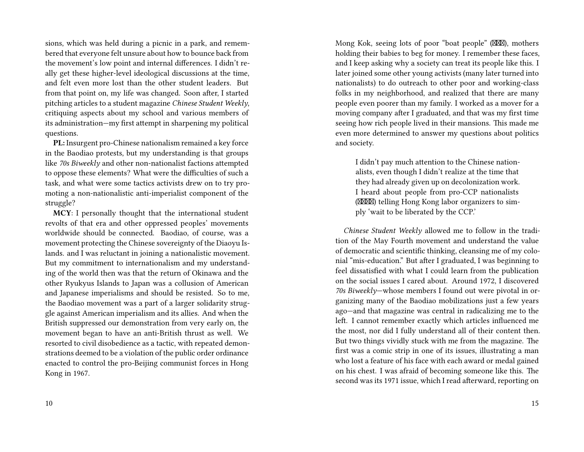sions, which was held during a picnic in a park, and remembered that everyone felt unsure about how to bounce back from the movement's low point and internal differences. I didn't really get these higher-level ideological discussions at the time, and felt even more lost than the other student leaders. But from that point on, my life was changed. Soon after, I started pitching articles to a student magazine *Chinese Student Weekly*, critiquing aspects about my school and various members of its administration—my first attempt in sharpening my political questions.

**PL:** Insurgent pro-Chinese nationalism remained a key force in the Baodiao protests, but my understanding is that groups like *70s Biweekly* and other non-nationalist factions attempted to oppose these elements? What were the difficulties of such a task, and what were some tactics activists drew on to try promoting a non-nationalistic anti-imperialist component of the struggle?

**MCY**: I personally thought that the international student revolts of that era and other oppressed peoples' movements worldwide should be connected. Baodiao, of course, was a movement protecting the Chinese sovereignty of the Diaoyu Islands. and I was reluctant in joining a nationalistic movement. But my commitment to internationalism and my understanding of the world then was that the return of Okinawa and the other Ryukyus Islands to Japan was a collusion of American and Japanese imperialisms and should be resisted. So to me, the Baodiao movement was a part of a larger solidarity struggle against American imperialism and its allies. And when the British suppressed our demonstration from very early on, the movement began to have an anti-British thrust as well. We resorted to civil disobedience as a tactic, with repeated demonstrations deemed to be a violation of the public order ordinance enacted to control the pro-Beijing communist forces in Hong Kong in 1967.

Mong Kok, seeing lots of poor "boat people" ( $\boxtimes$ ), mothers holding their babies to beg for money. I remember these faces, and I keep asking why a society can treat its people like this. I later joined some other young activists (many later turned into nationalists) to do outreach to other poor and working-class folks in my neighborhood, and realized that there are many people even poorer than my family. I worked as a mover for a moving company after I graduated, and that was my first time seeing how rich people lived in their mansions. This made me even more determined to answer my questions about politics and society.

I didn't pay much attention to the Chinese nationalists, even though I didn't realize at the time that they had already given up on decolonization work. I heard about people from pro-CCP nationalists (XXXXIII) telling Hong Kong labor organizers to simply 'wait to be liberated by the CCP.'

*Chinese Student Weekly* allowed me to follow in the tradition of the May Fourth movement and understand the value of democratic and scientific thinking, cleansing me of my colonial "mis-education." But after I graduated, I was beginning to feel dissatisfied with what I could learn from the publication on the social issues I cared about. Around 1972, I discovered *70s Biweekly*—whose members I found out were pivotal in organizing many of the Baodiao mobilizations just a few years ago—and that magazine was central in radicalizing me to the left. I cannot remember exactly which articles influenced me the most, nor did I fully understand all of their content then. But two things vividly stuck with me from the magazine. The first was a comic strip in one of its issues, illustrating a man who lost a feature of his face with each award or medal gained on his chest. I was afraid of becoming someone like this. The second was its 1971 issue, which I read afterward, reporting on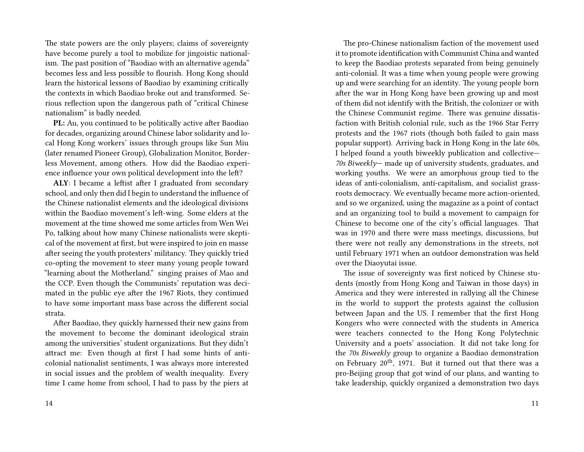The state powers are the only players; claims of sovereignty have become purely a tool to mobilize for jingoistic nationalism. The past position of "Baodiao with an alternative agenda" becomes less and less possible to flourish. Hong Kong should learn the historical lessons of Baodiao by examining critically the contexts in which Baodiao broke out and transformed. Serious reflection upon the dangerous path of "critical Chinese nationalism" is badly needed.

**PL:** Au, you continued to be politically active after Baodiao for decades, organizing around Chinese labor solidarity and local Hong Kong workers' issues through groups like Sun Miu (later renamed Pioneer Group), Globalization Monitor, Borderless Movement, among others. How did the Baodiao experience influence your own political development into the left?

**ALY**: I became a leftist after I graduated from secondary school, and only then did I begin to understand the influence of the Chinese nationalist elements and the ideological divisions within the Baodiao movement's left-wing. Some elders at the movement at the time showed me some articles from Wen Wei Po, talking about how many Chinese nationalists were skeptical of the movement at first, but were inspired to join en masse after seeing the youth protesters' militancy. They quickly tried co-opting the movement to steer many young people toward "learning about the Motherland." singing praises of Mao and the CCP. Even though the Communists' reputation was decimated in the public eye after the 1967 Riots, they continued to have some important mass base across the different social strata.

After Baodiao, they quickly harnessed their new gains from the movement to become the dominant ideological strain among the universities' student organizations. But they didn't attract me: Even though at first I had some hints of anticolonial nationalist sentiments, I was always more interested in social issues and the problem of wealth inequality. Every time I came home from school, I had to pass by the piers at

The pro-Chinese nationalism faction of the movement used it to promote identification with Communist China and wanted to keep the Baodiao protests separated from being genuinely anti-colonial. It was a time when young people were growing up and were searching for an identity. The young people born after the war in Hong Kong have been growing up and most of them did not identify with the British, the colonizer or with the Chinese Communist regime. There was genuine dissatisfaction with British colonial rule, such as the 1966 Star Ferry protests and the 1967 riots (though both failed to gain mass popular support). Arriving back in Hong Kong in the late 60s, I helped found a youth biweekly publication and collective— *70s Biweekly*— made up of university students, graduates, and working youths. We were an amorphous group tied to the ideas of anti-colonialism, anti-capitalism, and socialist grassroots democracy. We eventually became more action-oriented, and so we organized, using the magazine as a point of contact and an organizing tool to build a movement to campaign for Chinese to become one of the city's official languages. That was in 1970 and there were mass meetings, discussions, but there were not really any demonstrations in the streets, not until February 1971 when an outdoor demonstration was held over the Diaoyutai issue.

The issue of sovereignty was first noticed by Chinese students (mostly from Hong Kong and Taiwan in those days) in America and they were interested in rallying all the Chinese in the world to support the protests against the collusion between Japan and the US. I remember that the first Hong Kongers who were connected with the students in America were teachers connected to the Hong Kong Polytechnic University and a poets' association. It did not take long for the *70s Biweekly* group to organize a Baodiao demonstration on February 20<sup>th</sup>, 1971. But it turned out that there was a pro-Beijing group that got wind of our plans, and wanting to take leadership, quickly organized a demonstration two days